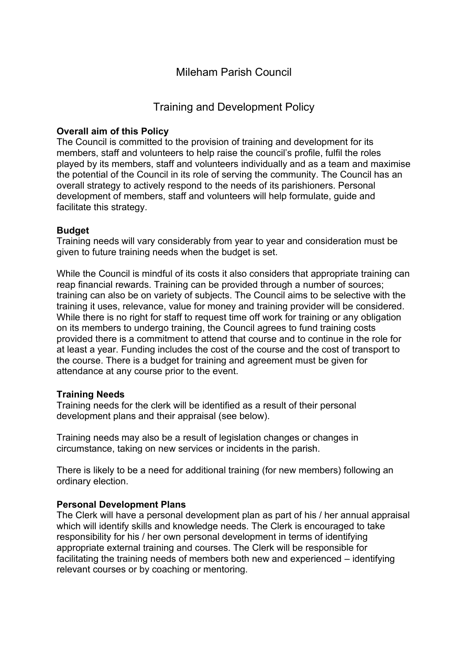# Training and Development Policy

### **Overall aim of this Policy**

The Council is committed to the provision of training and development for its members, staff and volunteers to help raise the council's profile, fulfil the roles played by its members, staff and volunteers individually and as a team and maximise the potential of the Council in its role of serving the community. The Council has an overall strategy to actively respond to the needs of its parishioners. Personal development of members, staff and volunteers will help formulate, guide and facilitate this strategy.

### **Budget**

Training needs will vary considerably from year to year and consideration must be given to future training needs when the budget is set.

While the Council is mindful of its costs it also considers that appropriate training can reap financial rewards. Training can be provided through a number of sources; training can also be on variety of subjects. The Council aims to be selective with the training it uses, relevance, value for money and training provider will be considered. While there is no right for staff to request time off work for training or any obligation on its members to undergo training, the Council agrees to fund training costs provided there is a commitment to attend that course and to continue in the role for at least a year. Funding includes the cost of the course and the cost of transport to the course. There is a budget for training and agreement must be given for attendance at any course prior to the event.

#### **Training Needs**

Training needs for the clerk will be identified as a result of their personal development plans and their appraisal (see below).

Training needs may also be a result of legislation changes or changes in circumstance, taking on new services or incidents in the parish.

There is likely to be a need for additional training (for new members) following an ordinary election.

## **Personal Development Plans**

The Clerk will have a personal development plan as part of his / her annual appraisal which will identify skills and knowledge needs. The Clerk is encouraged to take responsibility for his / her own personal development in terms of identifying appropriate external training and courses. The Clerk will be responsible for facilitating the training needs of members both new and experienced – identifying relevant courses or by coaching or mentoring.